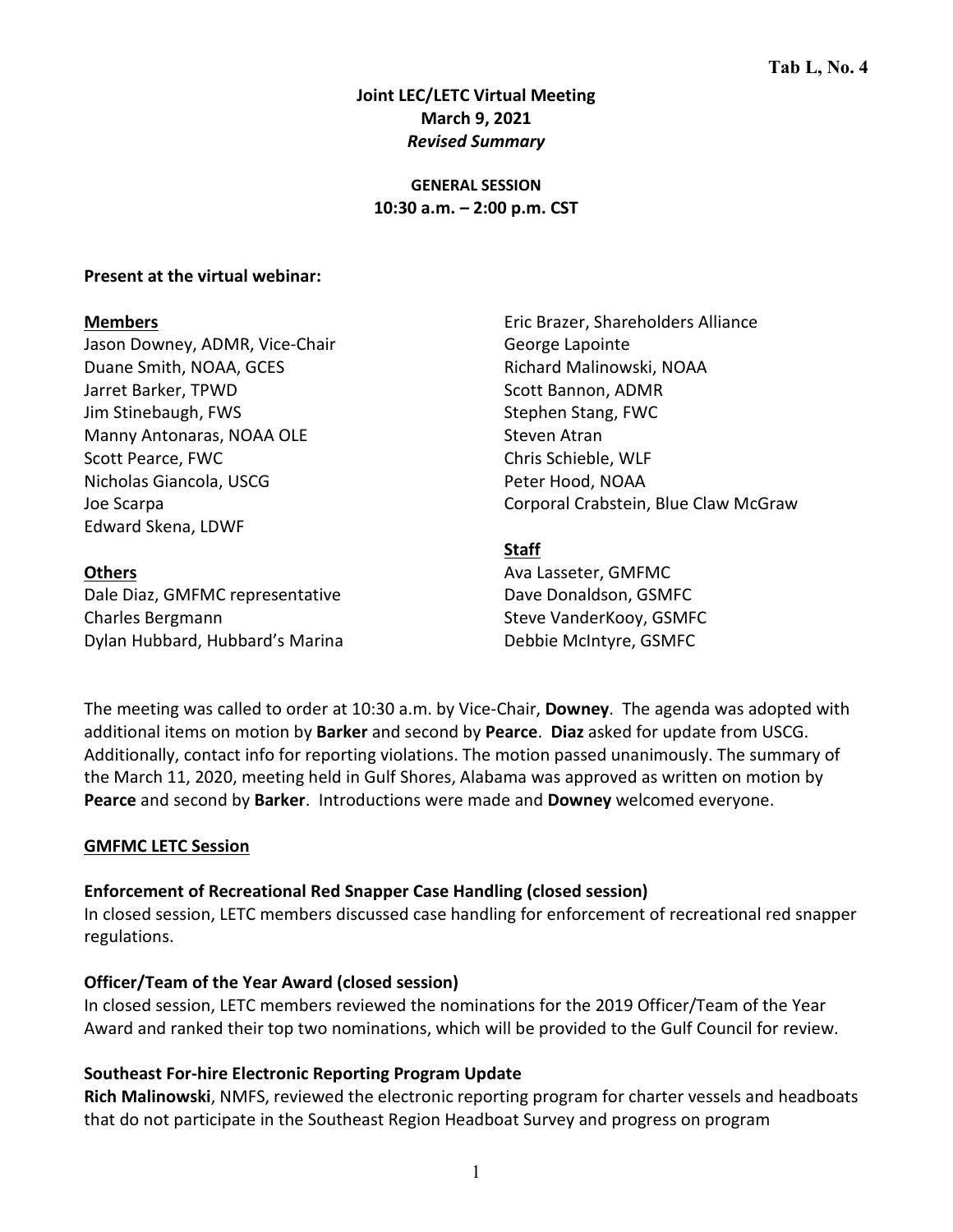## **Joint LEC/LETC Virtual Meeting March 9, 2021** *Revised Summary*

#### **GENERAL SESSION 10:30 a.m. – 2:00 p.m. CST**

#### **Present at the virtual webinar:**

#### **Members**

Jason Downey, ADMR, Vice-Chair Duane Smith, NOAA, GCES Jarret Barker, TPWD Jim Stinebaugh, FWS Manny Antonaras, NOAA OLE Scott Pearce, FWC Nicholas Giancola, USCG Joe Scarpa Edward Skena, LDWF

## **Others**

Dale Diaz, GMFMC representative Charles Bergmann Dylan Hubbard, Hubbard's Marina Eric Brazer, Shareholders Alliance George Lapointe Richard Malinowski, NOAA Scott Bannon, ADMR Stephen Stang, FWC Steven Atran Chris Schieble, WLF Peter Hood, NOAA Corporal Crabstein, Blue Claw McGraw

## **Staff**

Ava Lasseter, GMFMC Dave Donaldson, GSMFC Steve VanderKooy, GSMFC Debbie McIntyre, GSMFC

The meeting was called to order at 10:30 a.m. by Vice-Chair, **Downey**. The agenda was adopted with additional items on motion by **Barker** and second by **Pearce**. **Diaz** asked for update from USCG. Additionally, contact info for reporting violations. The motion passed unanimously. The summary of the March 11, 2020, meeting held in Gulf Shores, Alabama was approved as written on motion by **Pearce** and second by **Barker**. Introductions were made and **Downey** welcomed everyone.

## **GMFMC LETC Session**

## **Enforcement of Recreational Red Snapper Case Handling (closed session)**

In closed session, LETC members discussed case handling for enforcement of recreational red snapper regulations.

## **Officer/Team of the Year Award (closed session)**

In closed session, LETC members reviewed the nominations for the 2019 Officer/Team of the Year Award and ranked their top two nominations, which will be provided to the Gulf Council for review.

## **Southeast For-hire Electronic Reporting Program Update**

**Rich Malinowski**, NMFS, reviewed the electronic reporting program for charter vessels and headboats that do not participate in the Southeast Region Headboat Survey and progress on program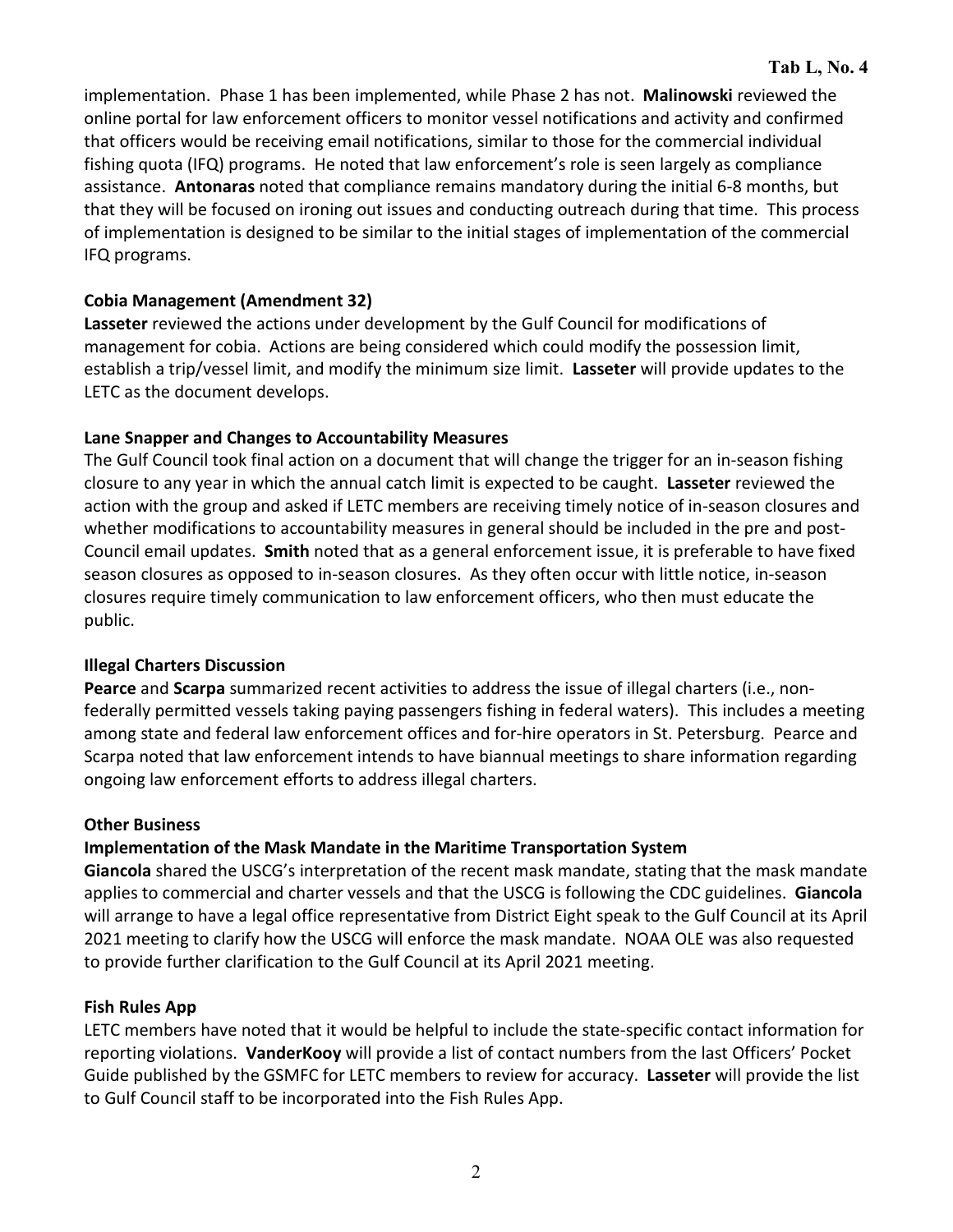implementation. Phase 1 has been implemented, while Phase 2 has not. **Malinowski** reviewed the online portal for law enforcement officers to monitor vessel notifications and activity and confirmed that officers would be receiving email notifications, similar to those for the commercial individual fishing quota (IFQ) programs. He noted that law enforcement's role is seen largely as compliance assistance. **Antonaras** noted that compliance remains mandatory during the initial 6-8 months, but that they will be focused on ironing out issues and conducting outreach during that time. This process of implementation is designed to be similar to the initial stages of implementation of the commercial IFQ programs.

## **Cobia Management (Amendment 32)**

**Lasseter** reviewed the actions under development by the Gulf Council for modifications of management for cobia. Actions are being considered which could modify the possession limit, establish a trip/vessel limit, and modify the minimum size limit. **Lasseter** will provide updates to the LETC as the document develops.

## **Lane Snapper and Changes to Accountability Measures**

The Gulf Council took final action on a document that will change the trigger for an in-season fishing closure to any year in which the annual catch limit is expected to be caught. **Lasseter** reviewed the action with the group and asked if LETC members are receiving timely notice of in-season closures and whether modifications to accountability measures in general should be included in the pre and post-Council email updates. **Smith** noted that as a general enforcement issue, it is preferable to have fixed season closures as opposed to in-season closures. As they often occur with little notice, in-season closures require timely communication to law enforcement officers, who then must educate the public.

## **Illegal Charters Discussion**

**Pearce** and **Scarpa** summarized recent activities to address the issue of illegal charters (i.e., nonfederally permitted vessels taking paying passengers fishing in federal waters). This includes a meeting among state and federal law enforcement offices and for-hire operators in St. Petersburg. Pearce and Scarpa noted that law enforcement intends to have biannual meetings to share information regarding ongoing law enforcement efforts to address illegal charters.

## **Other Business**

# **Implementation of the Mask Mandate in the Maritime Transportation System**

**Giancola** shared the USCG's interpretation of the recent mask mandate, stating that the mask mandate applies to commercial and charter vessels and that the USCG is following the CDC guidelines. **Giancola** will arrange to have a legal office representative from District Eight speak to the Gulf Council at its April 2021 meeting to clarify how the USCG will enforce the mask mandate. NOAA OLE was also requested to provide further clarification to the Gulf Council at its April 2021 meeting.

# **Fish Rules App**

LETC members have noted that it would be helpful to include the state-specific contact information for reporting violations. **VanderKooy** will provide a list of contact numbers from the last Officers' Pocket Guide published by the GSMFC for LETC members to review for accuracy. **Lasseter** will provide the list to Gulf Council staff to be incorporated into the Fish Rules App.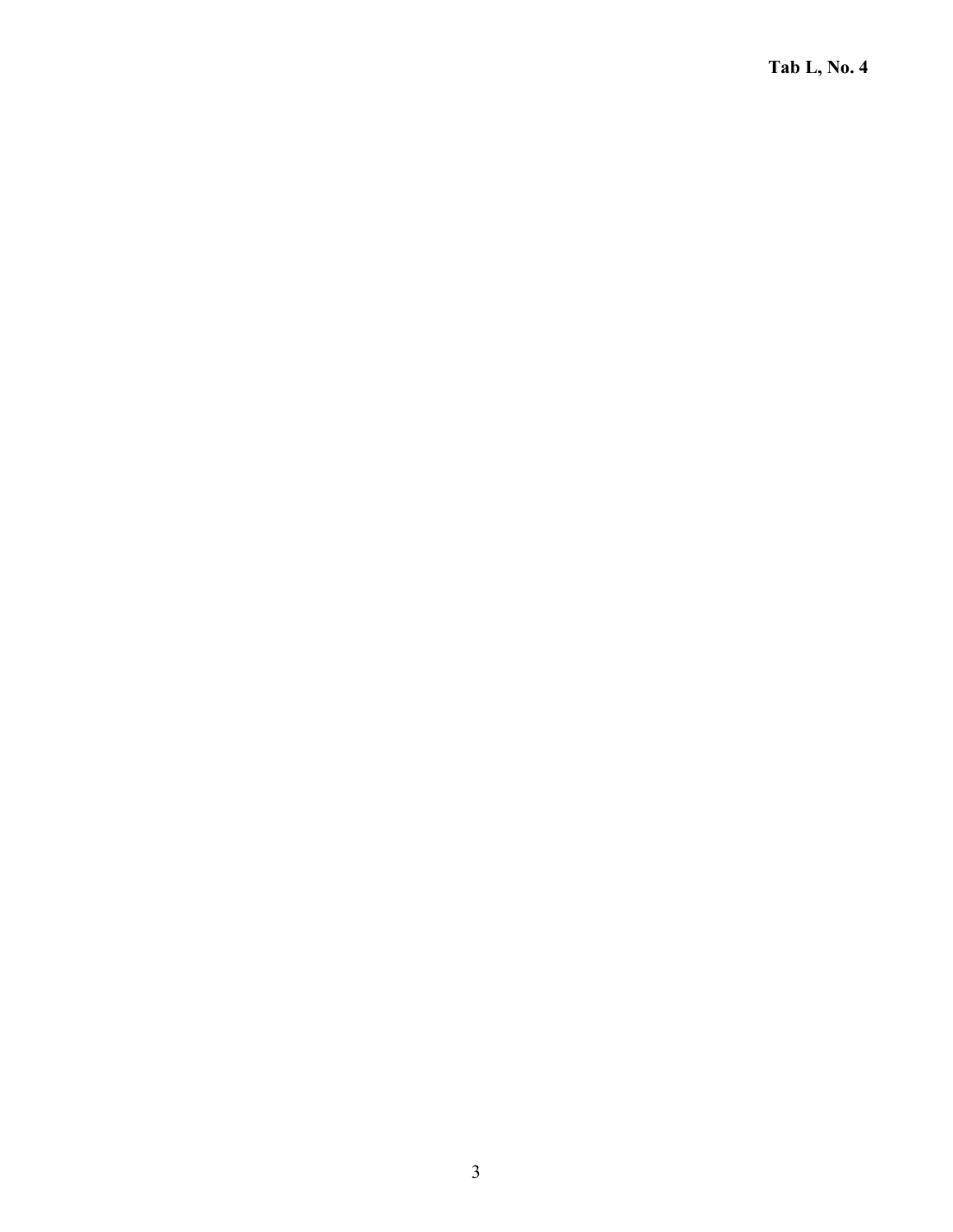# **Tab L, No. 4**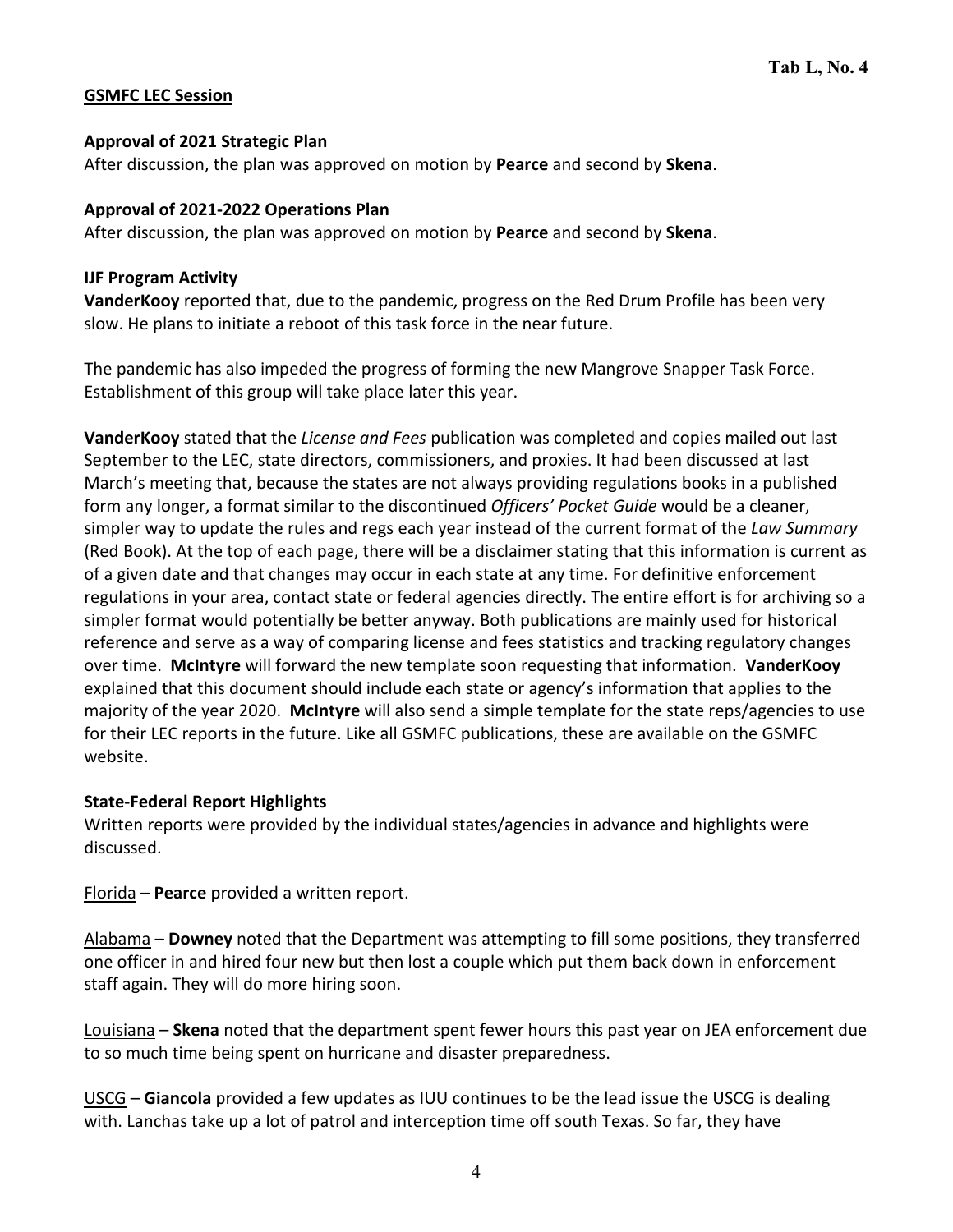## **GSMFC LEC Session**

## **Approval of 2021 Strategic Plan**

After discussion, the plan was approved on motion by **Pearce** and second by **Skena**.

## **Approval of 2021-2022 Operations Plan**

After discussion, the plan was approved on motion by **Pearce** and second by **Skena**.

## **IJF Program Activity**

**VanderKooy** reported that, due to the pandemic, progress on the Red Drum Profile has been very slow. He plans to initiate a reboot of this task force in the near future.

The pandemic has also impeded the progress of forming the new Mangrove Snapper Task Force. Establishment of this group will take place later this year.

**VanderKooy** stated that the *License and Fees* publication was completed and copies mailed out last September to the LEC, state directors, commissioners, and proxies. It had been discussed at last March's meeting that, because the states are not always providing regulations books in a published form any longer, a format similar to the discontinued *Officers' Pocket Guide* would be a cleaner, simpler way to update the rules and regs each year instead of the current format of the *Law Summary* (Red Book). At the top of each page, there will be a disclaimer stating that this information is current as of a given date and that changes may occur in each state at any time. For definitive enforcement regulations in your area, contact state or federal agencies directly. The entire effort is for archiving so a simpler format would potentially be better anyway. Both publications are mainly used for historical reference and serve as a way of comparing license and fees statistics and tracking regulatory changes over time. **McIntyre** will forward the new template soon requesting that information. **VanderKooy** explained that this document should include each state or agency's information that applies to the majority of the year 2020. **McIntyre** will also send a simple template for the state reps/agencies to use for their LEC reports in the future. Like all GSMFC publications, these are available on the GSMFC website.

## **State-Federal Report Highlights**

Written reports were provided by the individual states/agencies in advance and highlights were discussed.

Florida – **Pearce** provided a written report.

Alabama – **Downey** noted that the Department was attempting to fill some positions, they transferred one officer in and hired four new but then lost a couple which put them back down in enforcement staff again. They will do more hiring soon.

Louisiana – **Skena** noted that the department spent fewer hours this past year on JEA enforcement due to so much time being spent on hurricane and disaster preparedness.

USCG – **Giancola** provided a few updates as IUU continues to be the lead issue the USCG is dealing with. Lanchas take up a lot of patrol and interception time off south Texas. So far, they have